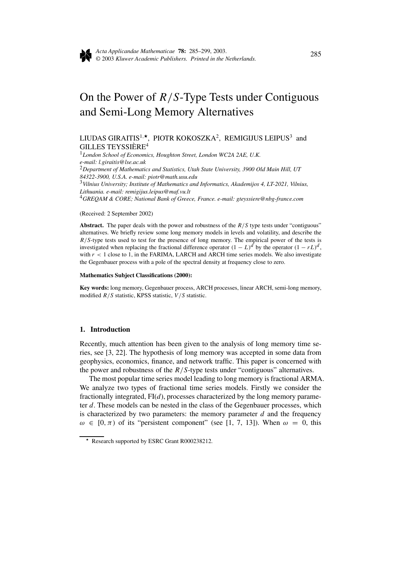

# On the Power of *R/S*-Type Tests under Contiguous and Semi-Long Memory Alternatives

# LIUDAS GIRAITIS<sup>1,\*</sup>, PIOTR KOKOSZKA<sup>2</sup>, REMIGIJUS LEIPUS<sup>3</sup> and GILLES TEYSSIÈRE<sup>4</sup>

<sup>1</sup>*London School of Economics, Houghton Street, London WC2A 2AE, U.K. e-mail: l.giraitis@lse.ac.uk* <sup>2</sup>*Department of Mathematics and Statistics, Utah State University, 3900 Old Main Hill, UT 84322-3900, U.S.A. e-mail: piotr@math.usu.edu* <sup>3</sup>*Vilnius University; Institute of Mathematics and Informatics, Akademijos 4, LT-2021, Vilnius, Lithuania. e-mail: remigijus.leipus@maf.vu.lt* <sup>4</sup>*GREQAM & CORE; National Bank of Greece, France. e-mail: gteyssiere@nbg-france.com*

#### (Received: 2 September 2002)

**Abstract.** The paper deals with the power and robustness of the *R/S* type tests under "contiguous" alternatives. We briefly review some long memory models in levels and volatility, and describe the *R/S*-type tests used to test for the presence of long memory. The empirical power of the tests is investigated when replacing the fractional difference operator  $(1 - L)^d$  by the operator  $(1 - rL)^d$ , with  $r < 1$  close to 1, in the FARIMA, LARCH and ARCH time series models. We also investigate the Gegenbauer process with a pole of the spectral density at frequency close to zero.

#### **Mathematics Subject Classifications (2000):**

**Key words:** long memory, Gegenbauer process, ARCH processes, linear ARCH, semi-long memory, modified *R/S* statistic, KPSS statistic, *V /S* statistic.

## **1. Introduction**

Recently, much attention has been given to the analysis of long memory time series, see [3, 22]. The hypothesis of long memory was accepted in some data from geophysics, economics, finance, and network traffic. This paper is concerned with the power and robustness of the *R/S*-type tests under "contiguous" alternatives.

The most popular time series model leading to long memory is fractional ARMA. We analyze two types of fractional time series models. Firstly we consider the fractionally integrated, FI(*d*), processes characterized by the long memory parameter *d*. These models can be nested in the class of the Gegenbauer processes, which is characterized by two parameters: the memory parameter *d* and the frequency  $\omega \in [0, \pi)$  of its "persistent component" (see [1, 7, 13]). When  $\omega = 0$ , this

<sup>\*</sup> Research supported by ESRC Grant R000238212.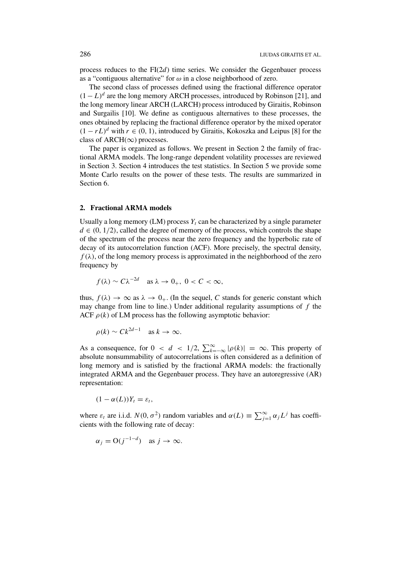process reduces to the FI(2*d*) time series. We consider the Gegenbauer process as a "contiguous alternative" for *ω* in a close neighborhood of zero.

The second class of processes defined using the fractional difference operator  $(1 - L)^d$  are the long memory ARCH processes, introduced by Robinson [21], and the long memory linear ARCH (LARCH) process introduced by Giraitis, Robinson and Surgailis [10]. We define as contiguous alternatives to these processes, the ones obtained by replacing the fractional difference operator by the mixed operator  $(1 - rL)^d$  with  $r \in (0, 1)$ , introduced by Giraitis, Kokoszka and Leipus [8] for the class of ARCH( $\infty$ ) processes.

The paper is organized as follows. We present in Section 2 the family of fractional ARMA models. The long-range dependent volatility processes are reviewed in Section 3. Section 4 introduces the test statistics. In Section 5 we provide some Monte Carlo results on the power of these tests. The results are summarized in Section 6.

#### **2. Fractional ARMA models**

Usually a long memory  $(LM)$  process  $Y_t$  can be characterized by a single parameter  $d \in (0, 1/2)$ , called the degree of memory of the process, which controls the shape of the spectrum of the process near the zero frequency and the hyperbolic rate of decay of its autocorrelation function (ACF). More precisely, the spectral density,  $f(\lambda)$ , of the long memory process is approximated in the neighborhood of the zero frequency by

$$
f(\lambda) \sim C \lambda^{-2d}
$$
 as  $\lambda \to 0_+$ ,  $0 < C < \infty$ ,

thus,  $f(\lambda) \to \infty$  as  $\lambda \to 0_+$ . (In the sequel, C stands for generic constant which may change from line to line.) Under additional regularity assumptions of *f* the ACF  $\rho(k)$  of LM process has the following asymptotic behavior:

$$
\rho(k) \sim C k^{2d-1} \quad \text{as } k \to \infty.
$$

As a consequence, for  $0 < d < 1/2$ ,  $\sum_{k=-\infty}^{\infty} |\rho(k)| = \infty$ . This property of absolute nonsummability of autocorrelations is often considered as a definition of long memory and is satisfied by the fractional ARMA models: the fractionally integrated ARMA and the Gegenbauer process. They have an autoregressive (AR) representation:

$$
(1-\alpha(L))Y_t=\varepsilon_t,
$$

where  $\varepsilon_t$  are i.i.d.  $N(0, \sigma^2)$  random variables and  $\alpha(L) \equiv \sum_{j=1}^{\infty} \alpha_j L^j$  has coefficients with the following rate of decay:

$$
\alpha_j = O(j^{-1-d})
$$
 as  $j \to \infty$ .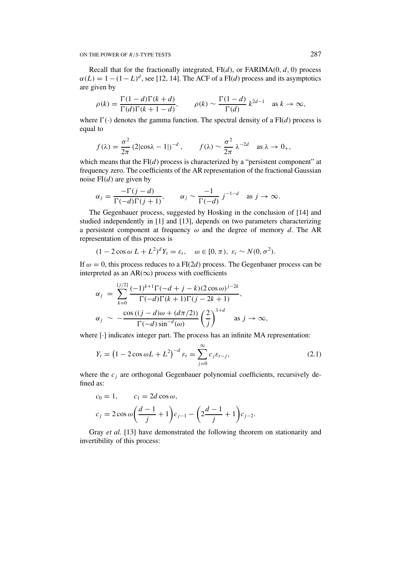Recall that for the fractionally integrated, FI(*d*), or FARIMA(0*,d,* 0) process  $\alpha(L) = 1 - (1 - L)^d$ , see [12, 14]. The ACF of a FI(*d*) process and its asymptotics are given by

$$
\rho(k) = \frac{\Gamma(1-d)\Gamma(k+d)}{\Gamma(d)\Gamma(k+1-d)}, \qquad \rho(k) \sim \frac{\Gamma(1-d)}{\Gamma(d)} k^{2d-1} \quad \text{as } k \to \infty,
$$

where  $\Gamma(\cdot)$  denotes the gamma function. The spectral density of a  $FI(d)$  process is equal to

$$
f(\lambda) = \frac{\sigma^2}{2\pi} (2|\cos \lambda - 1|)^{-d}, \qquad f(\lambda) \sim \frac{\sigma^2}{2\pi} \lambda^{-2d} \quad \text{as } \lambda \to 0_+,
$$

which means that the  $FI(d)$  process is characterized by a "persistent component" at frequency zero. The coefficients of the AR representation of the fractional Gaussian noise FI*(d)* are given by

$$
\alpha_j = \frac{-\Gamma(j-d)}{\Gamma(-d)\Gamma(j+1)}, \qquad \alpha_j \sim \frac{-1}{\Gamma(-d)} j^{-1-d} \quad \text{as } j \to \infty.
$$

The Gegenbauer process, suggested by Hosking in the conclusion of [14] and studied independently in [1] and [13], depends on two parameters characterizing a persistent component at frequency *ω* and the degree of memory *d*. The AR representation of this process is

$$
(1 - 2\cos \omega L + L^2)^d Y_t = \varepsilon_t, \quad \omega \in [0, \pi), \ \varepsilon_t \sim N(0, \sigma^2).
$$

If  $\omega = 0$ , this process reduces to a FI(2*d*) process. The Gegenbauer process can be interpreted as an  $AR(\infty)$  process with coefficients

$$
\alpha_j = \sum_{k=0}^{\lfloor j/2 \rfloor} \frac{(-1)^{k+1} \Gamma(-d+j-k) (2 \cos \omega)^{j-2k}}{\Gamma(-d) \Gamma(k+1) \Gamma(j-2k+1)},
$$
  

$$
\alpha_j \sim -\frac{\cos ((j-d)\omega + (d\pi/2))}{\Gamma(-d) \sin^{-d}(\omega)} \left(\frac{2}{j}\right)^{1+d} \text{ as } j \to \infty,
$$

where  $\lceil \cdot \rceil$  indicates integer part. The process has an infinite MA representation:

$$
Y_t = (1 - 2\cos\omega L + L^2)^{-d} \varepsilon_t = \sum_{j=0}^{\infty} c_j \varepsilon_{t-j},
$$
\n(2.1)

where the  $c_i$  are orthogonal Gegenbauer polynomial coefficients, recursively defined as:

$$
c_0 = 1,
$$
  $c_1 = 2d \cos \omega,$   
\n $c_j = 2 \cos \omega \left( \frac{d-1}{j} + 1 \right) c_{j-1} - \left( 2 \frac{d-1}{j} + 1 \right) c_{j-2}.$ 

Gray *et al.* [13] have demonstrated the following theorem on stationarity and invertibility of this process: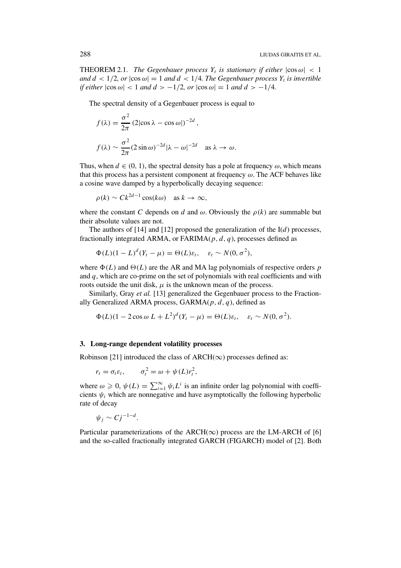**THEOREM 2.1.** *The Gegenbauer process*  $Y_t$  *is stationary if either*  $|\cos \omega| < 1$ *and*  $d < 1/2$ , or  $|\cos \omega| = 1$  *and*  $d < 1/4$ . The Gegenbauer process  $Y_t$  is invertible  $if$  *either*  $|\cos \omega| < 1$  *and*  $d > -1/2$ *, or*  $|\cos \omega| = 1$  *and*  $d > -1/4$ *.* 

The spectral density of a Gegenbauer process is equal to

$$
f(\lambda) = \frac{\sigma^2}{2\pi} (2|\cos \lambda - \cos \omega|)^{-2d},
$$
  

$$
f(\lambda) \sim \frac{\sigma^2}{2\pi} (2 \sin \omega)^{-2d} |\lambda - \omega|^{-2d} \text{ as } \lambda \to \omega.
$$

Thus, when  $d \in (0, 1)$ , the spectral density has a pole at frequency  $\omega$ , which means that this process has a persistent component at frequency *ω*. The ACF behaves like a cosine wave damped by a hyperbolically decaying sequence:

$$
\rho(k) \sim C k^{2d-1} \cos(k\omega) \quad \text{as } k \to \infty,
$$

where the constant *C* depends on *d* and  $\omega$ . Obviously the  $\rho(k)$  are summable but their absolute values are not.

The authors of [14] and [12] proposed the generalization of the I(*d*) processes, fractionally integrated ARMA, or FARIMA(*p, d, q*), processes defined as

$$
\Phi(L)(1-L)^d(Y_t-\mu)=\Theta(L)\varepsilon_t, \quad \varepsilon_t \sim N(0,\sigma^2),
$$

where  $\Phi(L)$  and  $\Theta(L)$  are the AR and MA lag polynomials of respective orders *p* and *q*, which are co-prime on the set of polynomials with real coefficients and with roots outside the unit disk,  $\mu$  is the unknown mean of the process.

Similarly, Gray *et al.* [13] generalized the Gegenbauer process to the Fractionally Generalized ARMA process, GARMA(*p, d, q*), defined as

$$
\Phi(L)(1-2\cos\omega L + L^2)^d (Y_t - \mu) = \Theta(L)\varepsilon_t, \quad \varepsilon_t \sim N(0, \sigma^2).
$$

## **3. Long-range dependent volatility processes**

Robinson [21] introduced the class of  $\text{ARCH}(\infty)$  processes defined as:

$$
r_t = \sigma_t \varepsilon_t, \qquad \sigma_t^2 = \omega + \psi(L) r_t^2,
$$

where  $\omega \geq 0$ ,  $\psi(L) = \sum_{i=1}^{\infty} \psi_i L^i$  is an infinite order lag polynomial with coefficients  $\psi_i$  which are nonnegative and have asymptotically the following hyperbolic rate of decay

$$
\psi_j \sim C j^{-1-d}.
$$

Particular parameterizations of the ARCH( $\infty$ ) process are the LM-ARCH of [6] and the so-called fractionally integrated GARCH (FIGARCH) model of [2]. Both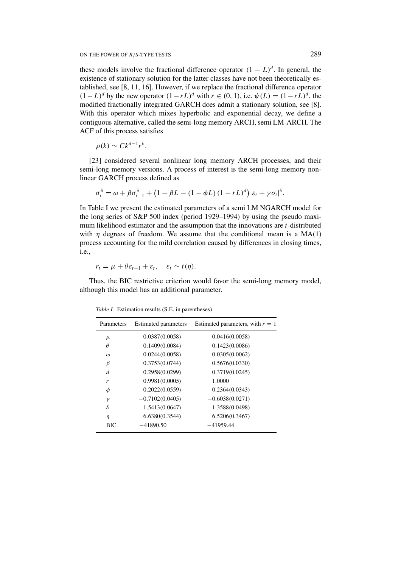these models involve the fractional difference operator  $(1 - L)^d$ . In general, the existence of stationary solution for the latter classes have not been theoretically established, see [8, 11, 16]. However, if we replace the fractional difference operator *(*1−*L*)<sup>*d*</sup> by the new operator  $(1 - rL)^d$  with  $r \in (0, 1)$ , i.e.  $\psi(L) = (1 - rL)^d$ , the modified fractionally integrated GARCH does admit a stationary solution, see [8]. With this operator which mixes hyperbolic and exponential decay, we define a contiguous alternative, called the semi-long memory ARCH, semi LM-ARCH. The ACF of this process satisfies

$$
\rho(k) \sim C k^{d-1} r^k.
$$

[23] considered several nonlinear long memory ARCH processes, and their semi-long memory versions. A process of interest is the semi-long memory nonlinear GARCH process defined as

$$
\sigma_t^{\delta} = \omega + \beta \sigma_{t-1}^{\delta} + \left(1 - \beta L - (1 - \phi L) (1 - r L)^{d}\right) |\varepsilon_t + \gamma \sigma_t|^{\delta}.
$$

In Table I we present the estimated parameters of a semi LM NGARCH model for the long series of S&P 500 index (period 1929–1994) by using the pseudo maximum likelihood estimator and the assumption that the innovations are *t*-distributed with  $\eta$  degrees of freedom. We assume that the conditional mean is a MA(1) process accounting for the mild correlation caused by differences in closing times, i.e.,

$$
r_t = \mu + \theta \varepsilon_{t-1} + \varepsilon_t, \quad \varepsilon_t \sim t(\eta).
$$

Thus, the BIC restrictive criterion would favor the semi-long memory model, although this model has an additional parameter.

| Parameters | <b>Estimated parameters</b> | Estimated parameters, with $r = 1$ |
|------------|-----------------------------|------------------------------------|
| $\mu$      | 0.0387(0.0058)              | 0.0416(0.0058)                     |
| $\theta$   | 0.1409(0.0084)              | 0.1423(0.0086)                     |
| $\omega$   | 0.0244(0.0058)              | 0.0305(0.0062)                     |
| β          | 0.3753(0.0744)              | 0.5676(0.0330)                     |
| d          | 0.2958(0.0299)              | 0.3719(0.0245)                     |
| r          | 0.9981(0.0005)              | 1.0000                             |
| φ          | 0.2022(0.0559)              | 0.2364(0.0343)                     |
| $\gamma$   | $-0.7102(0.0405)$           | $-0.6038(0.0271)$                  |
| δ          | 1.5413(0.0647)              | 1.3588(0.0498)                     |
| η          | 6.6380(0.3544)              | 6.5206(0.3467)                     |
| BIC        | $-41890.50$                 | $-41959.44$                        |

*Table I.* Estimation results (S.E. in parentheses)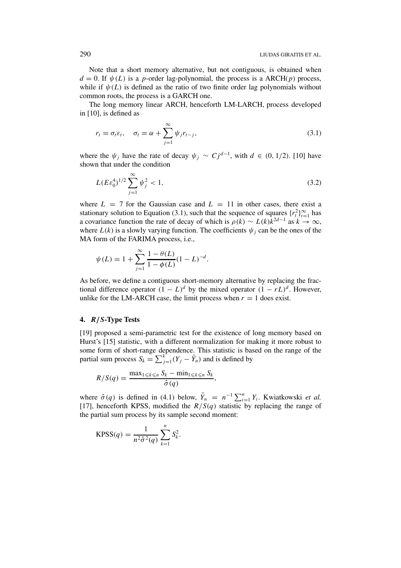Note that a short memory alternative, but not contiguous, is obtained when  $d = 0$ . If  $\psi(L)$  is a *p*-order lag-polynomial, the process is a ARCH(*p*) process, while if  $\psi(L)$  is defined as the ratio of two finite order lag polynomials without common roots, the process is a GARCH one.

The long memory linear ARCH, henceforth LM-LARCH, process developed in [10], is defined as

$$
r_t = \sigma_t \varepsilon_t, \quad \sigma_t = \alpha + \sum_{j=1}^{\infty} \psi_j r_{t-j}, \tag{3.1}
$$

where the  $\psi_j$  have the rate of decay  $\psi_j \sim Cj^{d-1}$ , with  $d \in (0, 1/2)$ . [10] have shown that under the condition

$$
L(E\varepsilon_0^4)^{1/2} \sum_{j=1}^{\infty} \psi_j^2 < 1,\tag{3.2}
$$

where  $L = 7$  for the Gaussian case and  $L = 11$  in other cases, there exist a stationary solution to Equation (3.1), such that the sequence of squares  $\{r_t^2\}_{t=1}^\infty$  has a covariance function the rate of decay of which is  $\rho(k) \sim L(k)k^{2d-1}$  as  $k \to \infty$ , where  $L(k)$  is a slowly varying function. The coefficients  $\psi_i$  can be the ones of the MA form of the FARIMA process, i.e.,

$$
\psi(L) = 1 + \sum_{j=1}^{\infty} \frac{1 - \theta(L)}{1 - \phi(L)} (1 - L)^{-d}.
$$

As before, we define a contiguous short-memory alternative by replacing the fractional difference operator  $(1 - L)^d$  by the mixed operator  $(1 - rL)^d$ . However, unlike for the LM-ARCH case, the limit process when  $r = 1$  does exist.

## **4.** *R/S***-Type Tests**

[19] proposed a semi-parametric test for the existence of long memory based on Hurst's [15] statistic, with a different normalization for making it more robust to some form of short-range dependence. This statistic is based on the range of the partial sum process  $S_k = \sum_{j=1}^k (Y_j - \bar{Y}_n)$  and is defined by

$$
R/S(q) = \frac{\max_{1 \leq k \leq n} S_k - \min_{1 \leq k \leq n} S_k}{\hat{\sigma}(q)},
$$

where  $\hat{\sigma}(q)$  is defined in (4.1) below,  $\bar{Y}_n = n^{-1} \sum_{i=1}^n Y_i$ . Kwiatkowski *et al.* [17], henceforth KPSS, modified the  $R/S(q)$  statistic by replacing the range of the partial sum process by its sample second moment:

$$
KPSS(q) = \frac{1}{n^2 \hat{\sigma}^2(q)} \sum_{k=1}^n S_k^2.
$$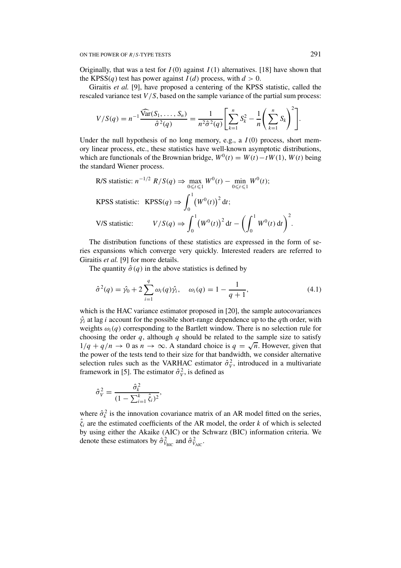Originally, that was a test for  $I(0)$  against  $I(1)$  alternatives. [18] have shown that the KPSS(*q*) test has power against  $I(d)$  process, with  $d > 0$ .

Giraitis *et al.* [9], have proposed a centering of the KPSS statistic, called the rescaled variance test *V /S*, based on the sample variance of the partial sum process:

$$
V/S(q) = n^{-1} \frac{\widehat{\text{Var}}(S_1, \ldots, S_n)}{\widehat{\sigma}^2(q)} = \frac{1}{n^2 \widehat{\sigma}^2(q)} \left[ \sum_{k=1}^n S_k^2 - \frac{1}{n} \left( \sum_{k=1}^n S_k \right)^2 \right].
$$

Under the null hypothesis of no long memory, e.g., a *I (*0*)* process, short memory linear process, etc., these statistics have well-known asymptotic distributions, which are functionals of the Brownian bridge,  $W^0(t) = W(t) - tW(1)$ ,  $W(t)$  being the standard Wiener process.

R/S statistic: 
$$
n^{-1/2} R/S(q) \Rightarrow \max_{0 \le t \le 1} W^0(t) - \min_{0 \le t \le 1} W^0(t);
$$
  
\nRPSS statistic: RPSS(*q*)  $\Rightarrow \int_0^1 (W^0(t))^2 dt;$   
\nV/S statistic:  $V/S(q) \Rightarrow \int_0^1 (W^0(t))^2 dt - \left(\int_0^1 W^0(t) dt\right)^2.$ 

The distribution functions of these statistics are expressed in the form of series expansions which converge very quickly. Interested readers are referred to Giraitis *et al.* [9] for more details.

The quantity  $\hat{\sigma}(q)$  in the above statistics is defined by

$$
\hat{\sigma}^2(q) = \hat{\gamma}_0 + 2 \sum_{i=1}^q \omega_i(q) \hat{\gamma}_i, \quad \omega_i(q) = 1 - \frac{1}{q+1}, \tag{4.1}
$$

which is the HAC variance estimator proposed in [20], the sample autocovariances  $\hat{\gamma}_i$  at lag *i* account for the possible short-range dependence up to the *q*th order, with weights  $\omega_i(q)$  corresponding to the Bartlett window. There is no selection rule for choosing the order  $q$ , although  $q$  should be related to the sample size to satisfy  $1/q + q/n \to 0$  as  $n \to \infty$ . A standard choice is  $q = \sqrt{n}$ . However, given that the power of the tests tend to their size for that bandwidth, we consider alternative selection rules such as the VARHAC estimator  $\hat{\sigma}_V^2$ , introduced in a multivariate framework in [5]. The estimator  $\hat{\sigma}_V^2$ , is defined as

$$
\hat{\sigma}_{V}^{2} = \frac{\hat{\sigma}_{k}^{2}}{(1 - \sum_{i=1}^{k} \hat{\zeta}_{i})^{2}},
$$

where  $\hat{\sigma}_k^2$  is the innovation covariance matrix of an AR model fitted on the series,  $\hat{\zeta}_i$  are the estimated coefficients of the AR model, the order *k* of which is selected by using either the Akaike (AIC) or the Schwarz (BIC) information criteria. We denote these estimators by  $\hat{\sigma}_{V_{\text{BIC}}}^2$  and  $\hat{\sigma}_{V_{\text{AIC}}}^2$ .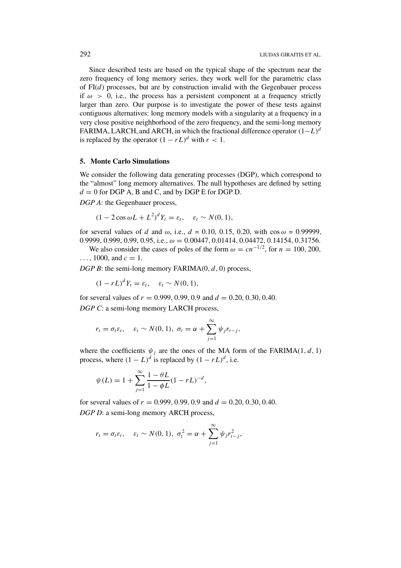Since described tests are based on the typical shape of the spectrum near the zero frequency of long memory series, they work well for the parametric class of FI(*d*) processes, but are by construction invalid with the Gegenbauer process if  $\omega > 0$ , i.e., the process has a persistent component at a frequency strictly larger than zero. Our purpose is to investigate the power of these tests against contiguous alternatives: long memory models with a singularity at a frequency in a very close positive neighborhood of the zero frequency, and the semi-long memory FARIMA, LARCH, and ARCH, in which the fractional difference operator *(*1−*L)<sup>d</sup>* is replaced by the operator  $(1 - rL)^d$  with  $r < 1$ .

# **5. Monte Carlo Simulations**

We consider the following data generating processes (DGP), which correspond to the "almost" long memory alternatives. The null hypotheses are defined by setting  $d = 0$  for DGP A, B and C, and by DGP E for DGP D.

*DGP A*: the Gegenbauer process,

$$
(1 - 2\cos \omega L + L^2)^d Y_t = \varepsilon_t, \quad \varepsilon_t \sim N(0, 1),
$$

for several values of *d* and *ω*, i.e., *d* = 0.10, 0.15, 0.20, with cos *ω* = 0.99999, 0.9999, 0.999, 0.99, 0.95, i.e., *ω* = 0*.*00447*,* 0*.*01414*,* 0*.*04472*,* 0*.*14154*,* 0*.*31756.

We also consider the cases of poles of the form  $\omega = cn^{-1/2}$ , for  $n = 100, 200$ ,  $\ldots$ , 1000, and  $c = 1$ .

*DGP B*: the semi-long memory FARIMA(0, d, 0) process,

$$
(1 - rL)^d Y_t = \varepsilon_t, \quad \varepsilon_t \sim N(0, 1),
$$

for several values of  $r = 0.999, 0.99, 0.9$  and  $d = 0.20, 0.30, 0.40$ . *DGP C*: a semi-long memory LARCH process,

$$
r_t = \sigma_t \varepsilon_t, \quad \varepsilon_t \sim N(0, 1), \; \sigma_t = \alpha + \sum_{j=1}^{\infty} \psi_j r_{t-j},
$$

where the coefficients  $\psi_i$  are the ones of the MA form of the FARIMA(1, d, 1) process, where  $(1 - L)^d$  is replaced by  $(1 - rL)^d$ , i.e.

$$
\psi(L) = 1 + \sum_{j=1}^{\infty} \frac{1 - \theta L}{1 - \phi L} (1 - rL)^{-d},
$$

for several values of  $r = 0.999, 0.99, 0.9$  and  $d = 0.20, 0.30, 0.40$ . *DGP D*: a semi-long memory ARCH process,

$$
r_t = \sigma_t \varepsilon_t, \quad \varepsilon_t \sim N(0, 1), \; \sigma_t^2 = \alpha + \sum_{j=1}^{\infty} \psi_j r_{t-j}^2,
$$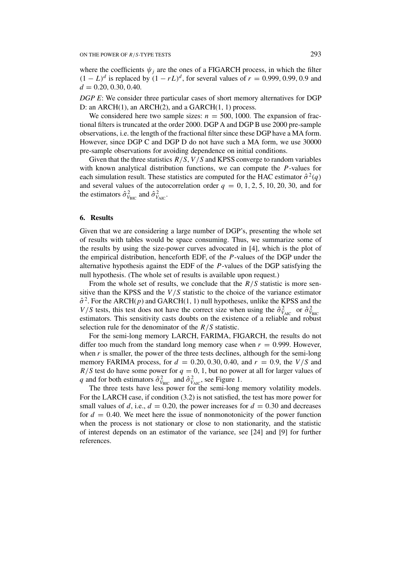where the coefficients  $\psi_i$  are the ones of a FIGARCH process, in which the filter  $(1 - L)^d$  is replaced by  $(1 - rL)^d$ , for several values of  $r = 0.999, 0.99, 0.9$  and *d* = 0*.*20*,* 0*.*30*,* 0*.*40.

*DGP E*: We consider three particular cases of short memory alternatives for DGP D: an ARCH(1), an ARCH(2), and a GARCH(1*,* 1) process.

We considered here two sample sizes:  $n = 500, 1000$ . The expansion of fractional filters is truncated at the order 2000. DGP A and DGP B use 2000 pre-sample observations, i.e. the length of the fractional filter since these DGP have a MA form. However, since DGP C and DGP D do not have such a MA form, we use 30000 pre-sample observations for avoiding dependence on initial conditions.

Given that the three statistics *R/S*, *V /S* and KPSS converge to random variables with known analytical distribution functions, we can compute the *P*-values for each simulation result. These statistics are computed for the HAC estimator  $\hat{\sigma}^2(q)$ and several values of the autocorrelation order  $q = 0, 1, 2, 5, 10, 20, 30$ , and for the estimators  $\hat{\sigma}_{V_{\text{BIC}}}^2$  and  $\hat{\sigma}_{V_{\text{AIC}}}^2$ .

## **6. Results**

Given that we are considering a large number of DGP's, presenting the whole set of results with tables would be space consuming. Thus, we summarize some of the results by using the size-power curves advocated in [4], which is the plot of the empirical distribution, henceforth EDF, of the *P*-values of the DGP under the alternative hypothesis against the EDF of the *P*-values of the DGP satisfying the null hypothesis. (The whole set of results is available upon request.)

From the whole set of results, we conclude that the  $R/S$  statistic is more sensitive than the KPSS and the *V /S* statistic to the choice of the variance estimator  $\hat{\sigma}^2$ . For the ARCH(*p*) and GARCH(1, 1) null hypotheses, unlike the KPSS and the *V*/*S* tests, this test does not have the correct size when using the  $\hat{\sigma}_{V_{\text{AIC}}}^2$  or  $\hat{\sigma}_{V_{\text{BIC}}}^2$ estimators. This sensitivity casts doubts on the existence of a reliable and robust selection rule for the denominator of the *R/S* statistic.

For the semi-long memory LARCH, FARIMA, FIGARCH, the results do not differ too much from the standard long memory case when  $r = 0.999$ . However, when  $r$  is smaller, the power of the three tests declines, although for the semi-long memory FARIMA process, for  $d = 0.20, 0.30, 0.40,$  and  $r = 0.9$ , the  $V/S$  and  $R/S$  test do have some power for  $q = 0, 1$ , but no power at all for larger values of *q* and for both estimators  $\hat{\sigma}_{V_{\text{BIC}}}^2$  and  $\hat{\sigma}_{V_{\text{AIC}}}^2$ , see Figure 1.

The three tests have less power for the semi-long memory volatility models. For the LARCH case, if condition (3.2) is not satisfied, the test has more power for small values of *d*, i.e.,  $d = 0.20$ , the power increases for  $d = 0.30$  and decreases for  $d = 0.40$ . We meet here the issue of nonmonotonicity of the power function when the process is not stationary or close to non stationarity, and the statistic of interest depends on an estimator of the variance, see [24] and [9] for further references.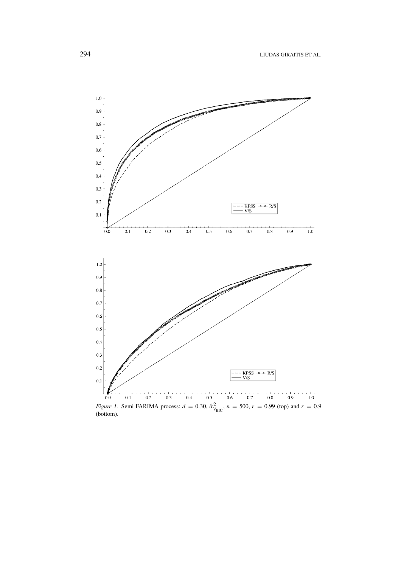

*Figure 1.* Semi FARIMA process:  $d = 0.30$ ,  $\hat{\sigma}_{V_{BIC}}^2$ ,  $n = 500$ ,  $r = 0.99$  (top) and  $r = 0.9$  (bottom).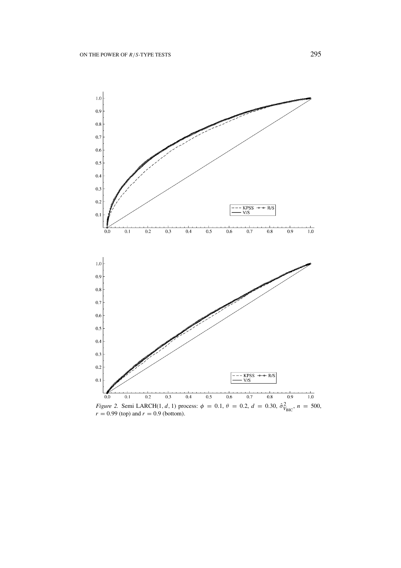

*Figure 2.* Semi LARCH(1, d, 1) process:  $\phi = 0.1$ ,  $\theta = 0.2$ ,  $d = 0.30$ ,  $\hat{\sigma}_{V_{BIC}}^2$ ,  $n = 500$ ,  $r = 0.99$  (top) and  $r = 0.9$  (bottom).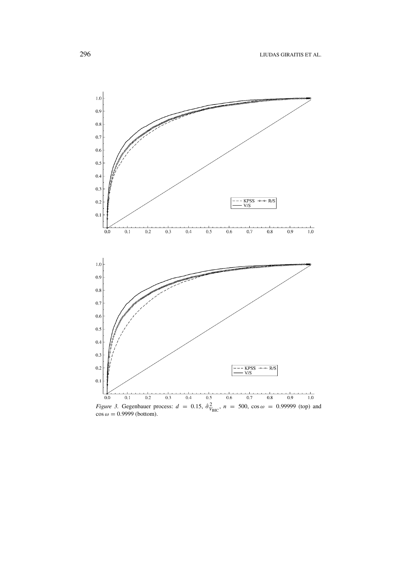

*Figure 3.* Gegenbauer process:  $d = 0.15$ ,  $\hat{\sigma}_{V_{BIC}}^2$ ,  $n = 500$ ,  $\cos \omega = 0.99999$  (top) and  $\cos \omega = 0.9999$  (bottom).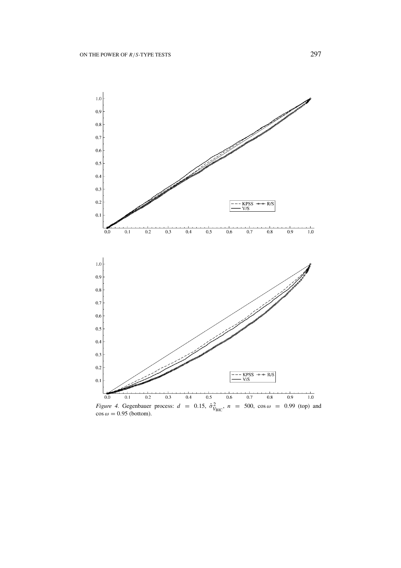

*Figure 4.* Gegenbauer process:  $d = 0.15$ ,  $\hat{\sigma}_{V_{BIC}}^2$ ,  $n = 500$ ,  $\cos \omega = 0.99$  (top) and  $\cos \omega = 0.95$  (bottom).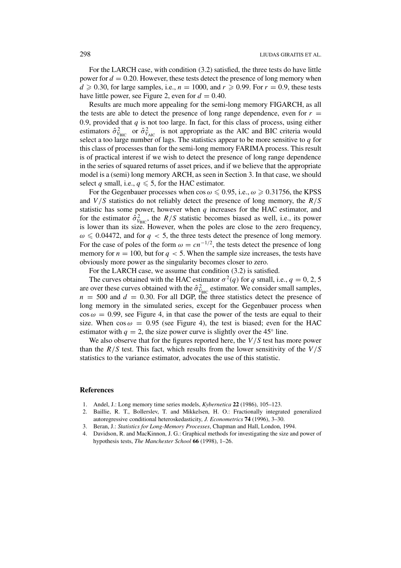For the LARCH case, with condition (3.2) satisfied, the three tests do have little power for  $d = 0.20$ . However, these tests detect the presence of long memory when  $d \ge 0.30$ , for large samples, i.e.,  $n = 1000$ , and  $r \ge 0.99$ . For  $r = 0.9$ , these tests have little power, see Figure 2, even for  $d = 0.40$ .

Results are much more appealing for the semi-long memory FIGARCH, as all the tests are able to detect the presence of long range dependence, even for  $r =$ 0.9, provided that  $q$  is not too large. In fact, for this class of process, using either estimators  $\hat{\sigma}_{V_{BIC}}^2$  or  $\hat{\sigma}_{V_{AIC}}^2$  is not appropriate as the AIC and BIC criteria would select a too large number of lags. The statistics appear to be more sensitive to  $q$  for this class of processes than for the semi-long memory FARIMA process. This result is of practical interest if we wish to detect the presence of long range dependence in the series of squared returns of asset prices, and if we believe that the appropriate model is a (semi) long memory ARCH, as seen in Section 3. In that case, we should select *q* small, i.e.,  $q \le 5$ , for the HAC estimator.

For the Gegenbauer processes when  $\cos \omega \leqslant 0.95$ , i.e.,  $\omega \geqslant 0.31756$ , the KPSS and *V /S* statistics do not reliably detect the presence of long memory, the *R/S* statistic has some power, however when *q* increases for the HAC estimator, and for the estimator  $\hat{\sigma}_{V_{BIC}}^2$ , the *R/S* statistic becomes biased as well, i.e., its power is lower than its size. However, when the poles are close to the zero frequency,  $\omega \leq 0.04472$ , and for  $q < 5$ , the three tests detect the presence of long memory. For the case of poles of the form  $\omega = cn^{-1/2}$ , the tests detect the presence of long memory for  $n = 100$ , but for  $q < 5$ . When the sample size increases, the tests have obviously more power as the singularity becomes closer to zero.

For the LARCH case, we assume that condition (3.2) is satisfied.

The curves obtained with the HAC estimator  $\sigma^2(q)$  for *q* small, i.e.,  $q = 0, 2, 5$ are over these curves obtained with the  $\hat{\sigma}_{V_{\text{BIC}}}^2$  estimator. We consider small samples,  $n = 500$  and  $d = 0.30$ . For all DGP, the three statistics detect the presence of long memory in the simulated series, except for the Gegenbauer process when  $\cos \omega = 0.99$ , see Figure 4, in that case the power of the tests are equal to their size. When  $\cos \omega = 0.95$  (see Figure 4), the test is biased; even for the HAC estimator with  $q = 2$ , the size power curve is slightly over the 45<sup>°</sup> line.

We also observe that for the figures reported here, the *V /S* test has more power than the *R/S* test. This fact, which results from the lower sensitivity of the *V /S* statistics to the variance estimator, advocates the use of this statistic.

### **References**

- 1. Andel, J.: Long memory time series models, *Kybernetica* **22** (1986), 105–123.
- 2. Baillie, R. T., Bollerslev, T. and Mikkelsen, H. O.: Fractionally integrated generalized autoregressive conditional heteroskedasticity, *J. Econometrics* **74** (1996), 3–30.
- 3. Beran, J.: *Statistics for Long-Memory Processes*, Chapman and Hall, London, 1994.
- 4. Davidson, R. and MacKinnon, J. G.: Graphical methods for investigating the size and power of hypothesis tests, *The Manchester School* **66** (1998), 1–26.